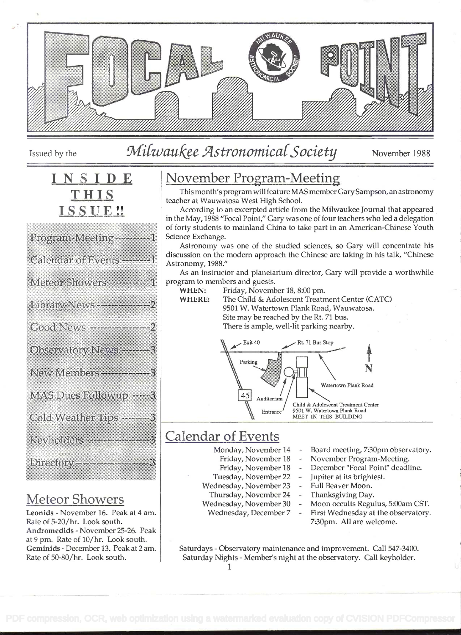

# Issued by the Milwaukee Astronomical Society November 1988

# SIDE THIS SSUE!!

| Program Meeting – – – – –     |  |
|-------------------------------|--|
| Calendar of Events ------     |  |
| Meteor Showers----------      |  |
| Library News --------------   |  |
| Good News -----------         |  |
| Observatory News -------      |  |
| New Members - - - - - - - - - |  |
| MAS Dues Rollowup -----       |  |
| Cold Weather Tips             |  |
|                               |  |
| Directory-------------------  |  |
|                               |  |

# Meteor Showers

Leonids - November 16. Peak at 4 am. Rate of 5-20/hr. Look south. Andromedids - November 25-26. Peak at 9 pm. Rate of 10/hr. Look south. Geminids - December 13. Peak at 2 am. Rate of 50-80/hr. Look south.

# November Program-Meeting

This month's program will feature MAS member GarySampson, an astronomy teacher at Wauwatosa West High School.

According to an excerpted article from the Milwaukee Journal that appeared in the May, 1988 "Focal Point," Gary was one of four teachers who led a delegation of forty students to mainland China to take part in an American-Chinese Youth Science Exchange.

Astronomy was one of the studied sciences, so Gary will concentrate his discussion on the modern approach the Chinese are taking in his talk, "Chinese Astronomy, 1988."

As an instructor and planetarium director, Gary will provide a worthwhile program to members and guests.

WHEN: Friday, November 18, 8:00 pm.

WHERE: The Child & Adolescent Treatment Center (CATC) 9501 W. Watertown Plank Road, Wauwatosa. Site may be reached by the Rt. 71 bus. There is ample, well-lit parking nearby.



# Calendar of Events

- Monday, November 14
	- Friday, November 18
	- Friday, November 18
- Tuesday, November 22
- Wednesday, November 23 Thursday, November 24
- Wednesday, November 30
- Wednesday, December 7
- Board meeting, 7:30pm observatory.
- November Program-Meeting.
- December "Focal Point" deadline.
- Jupiter at its brightest.
- Full Beaver Moon.
- Thanksgiving Day.
	- Moon occults Regulus, 5:00am CST.
	- First Wednesday at the observatory. 7:30pm. All are welcome.

Saturdays - Observatory maintenance and improvement. Call 547-3400. Saturday Nights - Member's night at the observatory. Call keyholder.

i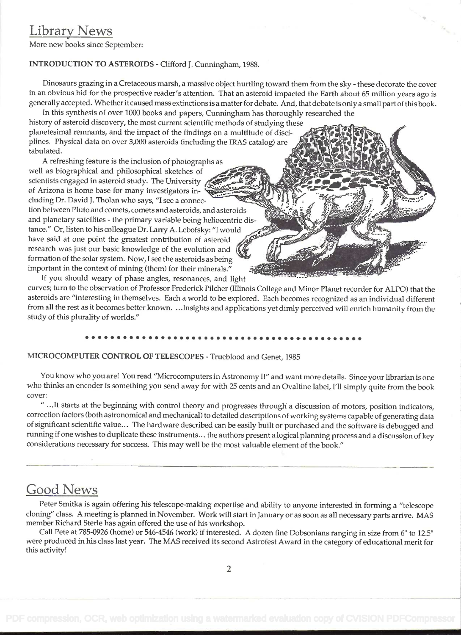### Library News

More new books since September:

#### INTRODUCTION TO ASTEROIDS - Clifford J. Cunningham, 1988.

Dinosaurs grazing in a Cretaceous marsh, a massive object hurtling toward them from the sky - these decorate the cover in an obvious bid for the prospective reader's attention. That an asteroid impacted the Earth about 65 million years ago is generally accepted. Whether it caused mass extinctions is a matter for debate. And, that debate is only a small part of this book.

In this synthesis of over 1000 books and papers, Cunningham has thoroughly researched the history of asteroid discovery, the most current scientific methods of studying these planetesimal remnants, and the impact of the findings on a multitude of disciplines. Physical data on over 3,000 asteroids (including the IRAS catalog) are tabulated.

A refreshing feature is the inclusion of photographs as well as biographical and philosophical sketches of scientists engaged in asteroid study. The University of Arizona is home base for many investigators including Dr. David J. Tholan who says, "I see a connec tion between Pluto and comets, comets and asteroids, and asteroids and planetary satellites - the primary variable being heliocentric distance." Or, listen to his colleague Dr. Larry A. Lebofsky: "I would have said at one point the greatest contribution of asteroid research was just our basic knowledge of the evolution and formation of the solar system. Now, I see the asteroids as being important in the context of mining (them) for their minerals."

If you should weary of phase angles, resonances, and light curves; turn to the observation of Professor Frederick Pilcher (Illinois College and Minor Planet recorder for ALPO) that the asteroids are "interesting in themselves. Each a world to be explored. Each becomes recognized as an individual different from all the rest as it becomes better known. . . .Insights and applications yet dimly perceived will enrich humanity from the study of this plurality of worlds."

### MICROCOMPUTER CONTROL OF TELESCOPES - Trueblood and Genet, 1985

You know who you are! You read "Microcomputers in Astronomy II" and want more details. Since your librarian is one who thinks an encoder is something you send away for with 25 cents and an Ovaltine label, I'll simply quite from the book cover:

" .It starts at the beginning with control theory and progresses through a discussion of motors, position indicators, correction factors (both astronomical and mechanical) to detailed descriptions of working systems capable of generating data of significant scientific value... The hardware described can be easily built or purchased and the software is debugged and running if one wishes to duplicate these instruments. . . the authors present a logical planning process and a discussion of key considerations necessary for success. This may well be the most valuable element of the book."

### Good News

Peter Smitka is again offering his telescope-making expertise and ability to anyone interested in forming a "telescope cloning" class. A meeting is planned in November. Work will start in January or as soon as all necessary parts arrive. MAS member Richard Sterle has again offered the use of his workshop.

Call Pete at 785-0926 (home) or 546-4546 (work) if interested. A dozen fine Dobsonians ranging in size from 6" to 12.5" were produced in his class last year. The MAS received its second Astrofest Award in the category of educational merit for this activity!